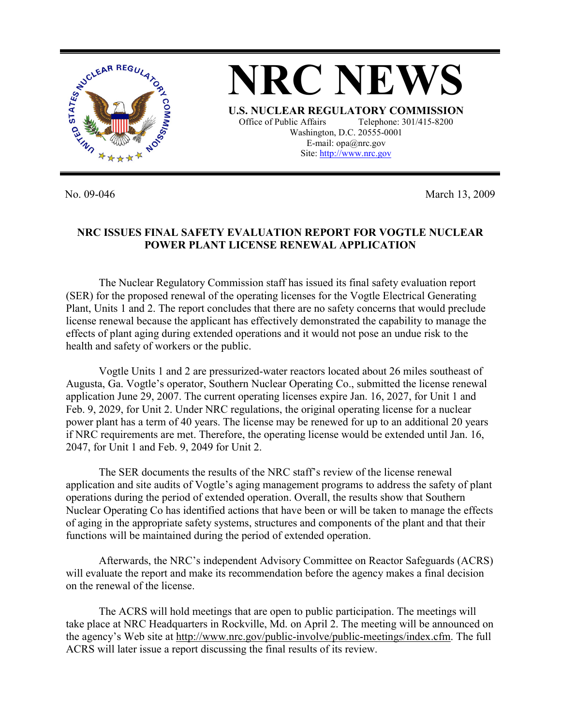

No. 09-046 March 13, 2009

## **NRC ISSUES FINAL SAFETY EVALUATION REPORT FOR VOGTLE NUCLEAR POWER PLANT LICENSE RENEWAL APPLICATION**

 The Nuclear Regulatory Commission staff has issued its final safety evaluation report (SER) for the proposed renewal of the operating licenses for the Vogtle Electrical Generating Plant, Units 1 and 2. The report concludes that there are no safety concerns that would preclude license renewal because the applicant has effectively demonstrated the capability to manage the effects of plant aging during extended operations and it would not pose an undue risk to the health and safety of workers or the public.

 Vogtle Units 1 and 2 are pressurized-water reactors located about 26 miles southeast of Augusta, Ga. Vogtle's operator, Southern Nuclear Operating Co., submitted the license renewal application June 29, 2007. The current operating licenses expire Jan. 16, 2027, for Unit 1 and Feb. 9, 2029, for Unit 2. Under NRC regulations, the original operating license for a nuclear power plant has a term of 40 years. The license may be renewed for up to an additional 20 years if NRC requirements are met. Therefore, the operating license would be extended until Jan. 16, 2047, for Unit 1 and Feb. 9, 2049 for Unit 2.

 The SER documents the results of the NRC staff's review of the license renewal application and site audits of Vogtle's aging management programs to address the safety of plant operations during the period of extended operation. Overall, the results show that Southern Nuclear Operating Co has identified actions that have been or will be taken to manage the effects of aging in the appropriate safety systems, structures and components of the plant and that their functions will be maintained during the period of extended operation.

 Afterwards, the NRC's independent Advisory Committee on Reactor Safeguards (ACRS) will evaluate the report and make its recommendation before the agency makes a final decision on the renewal of the license.

 The ACRS will hold meetings that are open to public participation. The meetings will take place at NRC Headquarters in Rockville, Md. on April 2. The meeting will be announced on the agency's Web site at http://www.nrc.gov/public-involve/public-meetings/index.cfm. The full ACRS will later issue a report discussing the final results of its review.